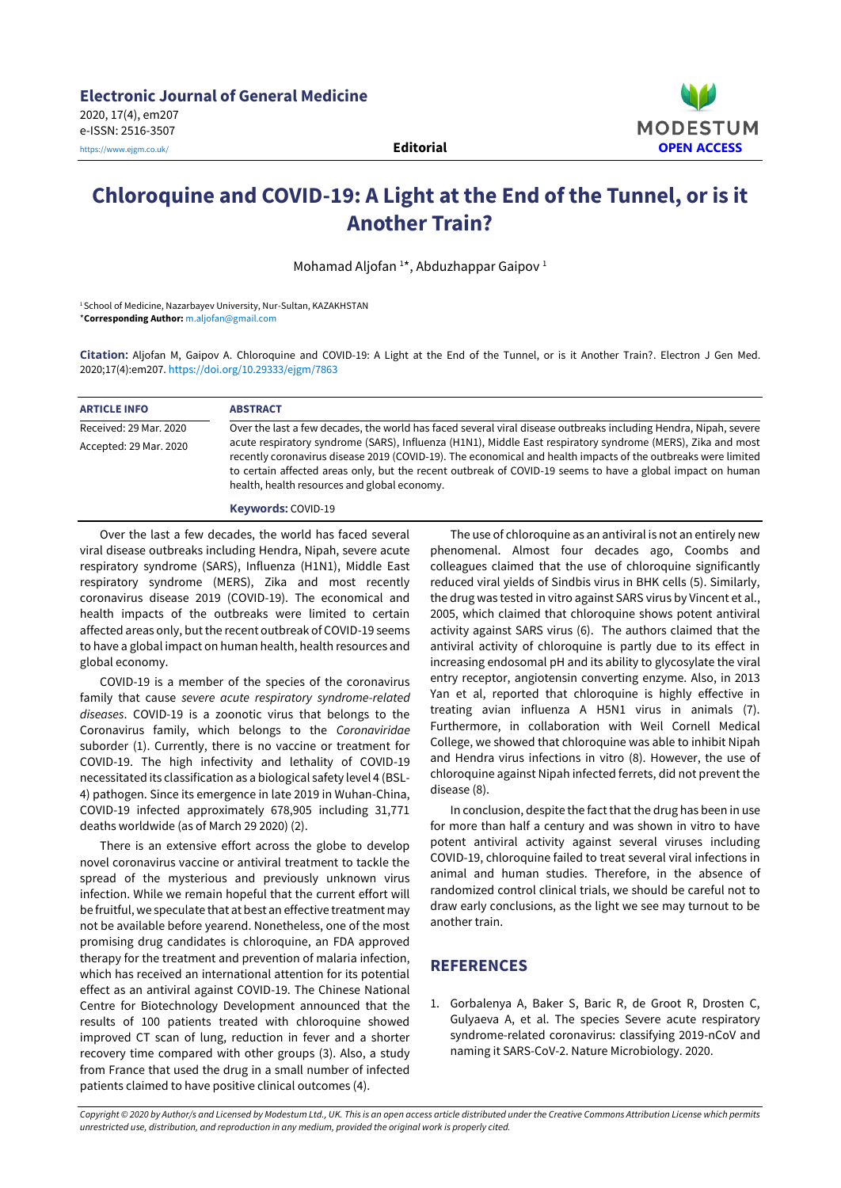

## **Chloroquine and COVID-19: A Light at the End of the Tunnel, or is it Another Train?**

Mohamad Aljofan<sup>1\*</sup>, Abduzhappar Gaipov<sup>1</sup>

<sup>1</sup>School of Medicine, Nazarbayev University, Nur-Sultan, KAZAKHSTAN \***Corresponding Author:** [m.aljofan@gmail.com](mailto:m.aljofan@gmail.com)

**Citation:** Aljofan M, Gaipov A. Chloroquine and COVID-19: A Light at the End of the Tunnel, or is it Another Train?. Electron J Gen Med. 2020;17(4):em207. <https://doi.org/10.29333/ejgm/7863>

| <b>ARTICLE INFO</b>    | <b>ABSTRACT</b>                                                                                                                                                                                                                                                                                                                                                                            |
|------------------------|--------------------------------------------------------------------------------------------------------------------------------------------------------------------------------------------------------------------------------------------------------------------------------------------------------------------------------------------------------------------------------------------|
| Received: 29 Mar. 2020 | Over the last a few decades, the world has faced several viral disease outbreaks including Hendra, Nipah, severe                                                                                                                                                                                                                                                                           |
| Accepted: 29 Mar. 2020 | acute respiratory syndrome (SARS), Influenza (H1N1), Middle East respiratory syndrome (MERS), Zika and most<br>recently coronavirus disease 2019 (COVID-19). The economical and health impacts of the outbreaks were limited<br>to certain affected areas only, but the recent outbreak of COVID-19 seems to have a global impact on human<br>health, health resources and global economy. |

**Keywords:** COVID-19

Over the last a few decades, the world has faced several viral disease outbreaks including Hendra, Nipah, severe acute respiratory syndrome (SARS), Influenza (H1N1), Middle East respiratory syndrome (MERS), Zika and most recently coronavirus disease 2019 (COVID-19). The economical and health impacts of the outbreaks were limited to certain affected areas only, but the recent outbreak of COVID-19 seems to have a global impact on human health, health resources and global economy.

COVID-19 is a member of the species of the coronavirus family that cause *severe acute respiratory syndrome-related diseases*. COVID-19 is a zoonotic virus that belongs to the Coronavirus family, which belongs to the *Coronaviridae* suborder (1). Currently, there is no vaccine or treatment for COVID-19. The high infectivity and lethality of COVID-19 necessitated its classification as a biological safety level 4 (BSL-4) pathogen. Since its emergence in late 2019 in Wuhan-China, COVID-19 infected approximately 678,905 including 31,771 deaths worldwide (as of March 29 2020) (2).

There is an extensive effort across the globe to develop novel coronavirus vaccine or antiviral treatment to tackle the spread of the mysterious and previously unknown virus infection. While we remain hopeful that the current effort will be fruitful, we speculate that at best an effective treatment may not be available before yearend. Nonetheless, one of the most promising drug candidates is chloroquine, an FDA approved therapy for the treatment and prevention of malaria infection, which has received an international attention for its potential effect as an antiviral against COVID-19. The Chinese National Centre for Biotechnology Development announced that the results of 100 patients treated with chloroquine showed improved CT scan of lung, reduction in fever and a shorter recovery time compared with other groups (3). Also, a study from France that used the drug in a small number of infected patients claimed to have positive clinical outcomes (4).

The use of chloroquine as an antiviral is not an entirely new phenomenal. Almost four decades ago, Coombs and colleagues claimed that the use of chloroquine significantly reduced viral yields of Sindbis virus in BHK cells (5). Similarly, the drug was tested in vitro against SARS virus by Vincent et al., 2005, which claimed that chloroquine shows potent antiviral activity against SARS virus (6). The authors claimed that the antiviral activity of chloroquine is partly due to its effect in increasing endosomal pH and its ability to glycosylate the viral entry receptor, angiotensin converting enzyme. Also, in 2013 Yan et al, reported that chloroquine is highly effective in treating avian influenza A H5N1 virus in animals (7). Furthermore, in collaboration with Weil Cornell Medical College, we showed that chloroquine was able to inhibit Nipah and Hendra virus infections in vitro (8). However, the use of chloroquine against Nipah infected ferrets, did not prevent the disease (8).

In conclusion, despite the fact that the drug has been in use for more than half a century and was shown in vitro to have potent antiviral activity against several viruses including COVID-19, chloroquine failed to treat several viral infections in animal and human studies. Therefore, in the absence of randomized control clinical trials, we should be careful not to draw early conclusions, as the light we see may turnout to be another train.

## **REFERENCES**

1. Gorbalenya A, Baker S, Baric R, de Groot R, Drosten C, Gulyaeva A, et al. The species Severe acute respiratory syndrome-related coronavirus: classifying 2019-nCoV and naming it SARS-CoV-2. Nature Microbiology. 2020.

Copyright © 2020 by Author/s and Licensed by Modestum Ltd., UK. This is an open access article distributed under the Creative Commons Attribution License which permits *unrestricted use, distribution, and reproduction in any medium, provided the original work is properly cited.*